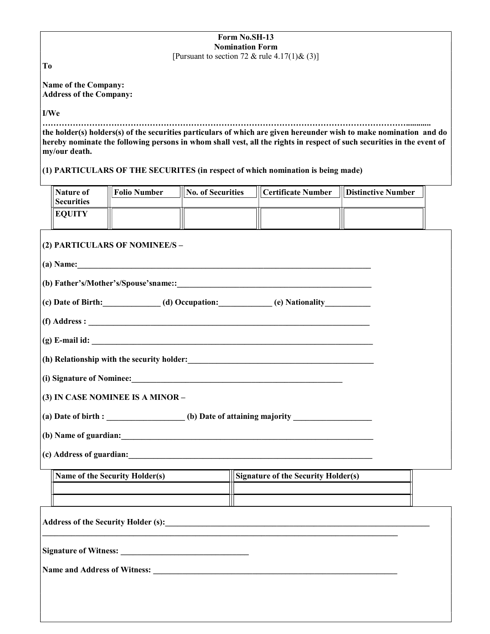### Form No.SH-13 Nomination Form [Pursuant to section 72 & rule  $4.17(1)$  &  $(3)$ ]

To

Name of the Company: Address of the Company:

## I/We

……………………………………………………………………………………………………………………............ the holder(s) holders(s) of the securities particulars of which are given hereunder wish to make nomination and do hereby nominate the following persons in whom shall vest, all the rights in respect of such securities in the event of my/our death.

# (1) PARTICULARS OF THE SECURITES (in respect of which nomination is being made)

| Nature of<br><b>Securities</b> | <b>Folio Number</b> | <b>No. of Securities</b> | <b>III Certificate Number</b> | <b>III</b> Distinctive Number |
|--------------------------------|---------------------|--------------------------|-------------------------------|-------------------------------|
| <b>EOUITY</b>                  |                     |                          |                               |                               |

|                                                                                                                                                                                                                                        | $\frac{1}{2}$ (a) Name:                                                                                                                                                              |  |  |  |  |
|----------------------------------------------------------------------------------------------------------------------------------------------------------------------------------------------------------------------------------------|--------------------------------------------------------------------------------------------------------------------------------------------------------------------------------------|--|--|--|--|
|                                                                                                                                                                                                                                        |                                                                                                                                                                                      |  |  |  |  |
|                                                                                                                                                                                                                                        | (c) Date of Birth:____________(d) Occupation:__________(e) Nationality__________                                                                                                     |  |  |  |  |
|                                                                                                                                                                                                                                        |                                                                                                                                                                                      |  |  |  |  |
| $(g)$ E-mail id: $\qquad \qquad$                                                                                                                                                                                                       |                                                                                                                                                                                      |  |  |  |  |
|                                                                                                                                                                                                                                        | (h) Relationship with the security holder:<br><u>Letting and the security holder</u> and the security holder of the security of the security of the security of the security holder: |  |  |  |  |
| (i) Signature of Nominee:<br><u> Letting and the contract of the contract of the contract of the contract of the contract of the contract of the contract of the contract of the contract of the contract of the contract of the c</u> |                                                                                                                                                                                      |  |  |  |  |
| (3) IN CASE NOMINEE IS A MINOR -                                                                                                                                                                                                       |                                                                                                                                                                                      |  |  |  |  |
|                                                                                                                                                                                                                                        |                                                                                                                                                                                      |  |  |  |  |
|                                                                                                                                                                                                                                        |                                                                                                                                                                                      |  |  |  |  |
|                                                                                                                                                                                                                                        |                                                                                                                                                                                      |  |  |  |  |
|                                                                                                                                                                                                                                        |                                                                                                                                                                                      |  |  |  |  |
|                                                                                                                                                                                                                                        |                                                                                                                                                                                      |  |  |  |  |

Signature of Witness: \_\_\_\_\_\_\_\_\_\_\_\_\_\_\_\_\_\_\_\_\_\_\_\_\_\_\_\_\_\_\_

Name and Address of Witness: \_\_\_\_\_\_\_\_\_\_\_\_\_\_\_\_\_\_\_\_\_\_\_\_\_\_\_\_\_\_\_\_\_\_\_\_\_\_\_\_\_\_\_\_\_\_\_\_\_\_\_\_\_\_\_\_\_\_\_